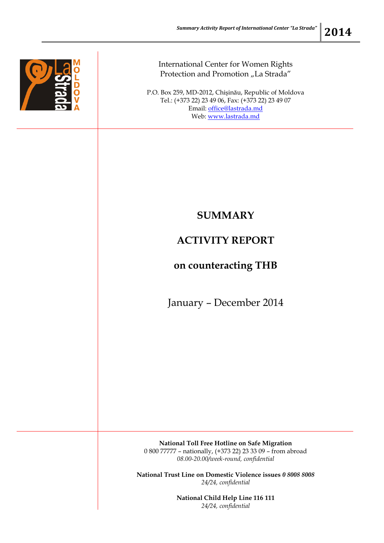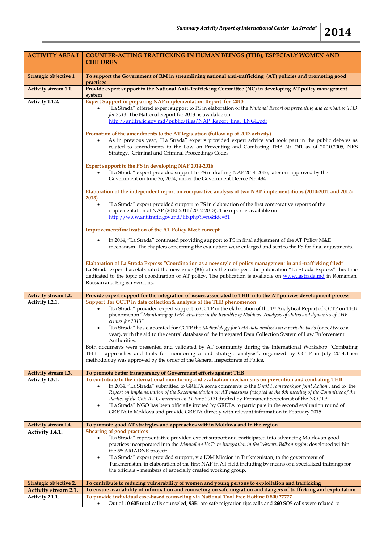| <b>ACTIVITY AREA I</b>      | <b>COUNTER-ACTING TRAFFICKING IN HUMAN BEINGS (THB), ESPECIALY WOMEN AND</b>                                                                                                                                                                                                                                                                                                                                                                                                                                                                                                                                                                                                                                                                                                                                                                                                                     |
|-----------------------------|--------------------------------------------------------------------------------------------------------------------------------------------------------------------------------------------------------------------------------------------------------------------------------------------------------------------------------------------------------------------------------------------------------------------------------------------------------------------------------------------------------------------------------------------------------------------------------------------------------------------------------------------------------------------------------------------------------------------------------------------------------------------------------------------------------------------------------------------------------------------------------------------------|
|                             | <b>CHILDREN</b>                                                                                                                                                                                                                                                                                                                                                                                                                                                                                                                                                                                                                                                                                                                                                                                                                                                                                  |
| Strategic objective 1       | To support the Government of RM in streamlining national anti-trafficking (AT) policies and promoting good<br>practices                                                                                                                                                                                                                                                                                                                                                                                                                                                                                                                                                                                                                                                                                                                                                                          |
| Activity stream 1.1.        | Provide expert support to the National Anti-Trafficking Committee (NC) in developing AT policy management                                                                                                                                                                                                                                                                                                                                                                                                                                                                                                                                                                                                                                                                                                                                                                                        |
| Activity 1.1.2.             | system<br><b>Expert Support in preparing NAP implementation Report for 2013</b><br>"La Strada" offered expert support to PS in elaboration of the National Report on preventing and combating THB<br>$\bullet$<br>for 2013. The National Report for 2013 is available on:<br>http://antitrafic.gov.md/public/files/NAP_Report_final_ENGL.pdf                                                                                                                                                                                                                                                                                                                                                                                                                                                                                                                                                     |
|                             | Promotion of the amendments to the AT legislation (follow up of 2013 activity)<br>As in previous year, "La Strada" experts provided expert advice and took part in the public debates as<br>related to amendments to the Law on Preventing and Combating THB Nr. 241 as of 20.10.2005, NRS<br>Strategy, Criminal and Criminal Proceedings Codes                                                                                                                                                                                                                                                                                                                                                                                                                                                                                                                                                  |
|                             | Expert support to the PS in developing NAP 2014-2016<br>"La Strada" expert provided support to PS in drafting NAP 2014-2016, later on approved by the<br>Government on June 26, 2014, under the Government Decree Nr. 484                                                                                                                                                                                                                                                                                                                                                                                                                                                                                                                                                                                                                                                                        |
|                             | Elaboration of the independent report on comparative analysis of two NAP implementations (2010-2011 and 2012-<br>2013)                                                                                                                                                                                                                                                                                                                                                                                                                                                                                                                                                                                                                                                                                                                                                                           |
|                             | "La Strada" expert provided support to PS in elaboration of the first comparative reports of the<br>implementation of NAP (2010-2011/2012-2013). The report is available on<br>http://www.antitrafic.gov.md/lib.php?l=ro&idc=31                                                                                                                                                                                                                                                                                                                                                                                                                                                                                                                                                                                                                                                                  |
|                             | Improvement/finalization of the AT Policy M&E concept                                                                                                                                                                                                                                                                                                                                                                                                                                                                                                                                                                                                                                                                                                                                                                                                                                            |
|                             | In 2014, "La Strada" continued providing support to PS in final adjustment of the AT Policy M&E<br>$\bullet$<br>mechanism. The chapters concerning the evaluation were enlarged and sent to the PS for final adjustments.                                                                                                                                                                                                                                                                                                                                                                                                                                                                                                                                                                                                                                                                        |
|                             | Elaboration of La Strada Express "Coordination as a new style of policy management in anti-trafficking filed"<br>La Strada expert has elaborated the new issue (#6) of its thematic periodic publication "La Strada Express" this time<br>dedicated to the topic of coordination of AT policy. The publication is available on www.lastrada.md in Romanian,<br>Russian and English versions.                                                                                                                                                                                                                                                                                                                                                                                                                                                                                                     |
| Activity stream I.2.        | Provide expert support for the integration of issues associated to THB into the AT policies development process                                                                                                                                                                                                                                                                                                                                                                                                                                                                                                                                                                                                                                                                                                                                                                                  |
| Activity I.2.1.             | Support for CCTP in data collection& analysis of the THB phenomenon<br>"La Strada" provided expert support to CCTP in the elaboration of the 1st Analytical Report of CCTP on THB<br>$\bullet$<br>phenomenon "Monitoring of THB situation in the Republic of Moldova. Analysis of status and dynamics of THB<br>crimes for 2013"<br>"La Strada" has elaborated for CCTP the Methodology for THB data analysis on a periodic basis (once/twice a<br>$\bullet$<br>year), with the aid to the central database of the Integrated Data Collection System of Law Enforcement<br>Authorities.<br>Both documents were presented and validated by AT community during the International Workshop "Combating<br>THB - approaches and tools for monitoring a and strategic analysis", organized by CCTP in July 2014. Then<br>methodology was approved by the order of the General Inspectorate of Police. |
|                             |                                                                                                                                                                                                                                                                                                                                                                                                                                                                                                                                                                                                                                                                                                                                                                                                                                                                                                  |
| Activity stream I.3.        | To promote better transparency of Government efforts against THB                                                                                                                                                                                                                                                                                                                                                                                                                                                                                                                                                                                                                                                                                                                                                                                                                                 |
| Activity I.3.1.             | To contribute to the international monitoring and evaluation mechanisms on prevention and combating THB<br>In 2014, "La Strada" submitted to GRETA some comments to the Draft Framework for Joint Action, and to the<br>$\bullet$<br>Report on implementation of the Recommendation on AT measures (adopted at the 8th meeting of the Committee of the<br>Parties of the CoE AT Convention on 11 June 2012) drafted by Permanent Secretariat of the NCCTP;<br>"La Strada" NGO has been officially invited by GRETA to participate in the second evaluation round of<br>$\bullet$<br>GRETA in Moldova and provide GRETA directly with relevant information in February 2015.                                                                                                                                                                                                                      |
| Activity stream I.4.        | To promote good AT strategies and approaches within Moldova and in the region                                                                                                                                                                                                                                                                                                                                                                                                                                                                                                                                                                                                                                                                                                                                                                                                                    |
| Activity I.4.1.             | <b>Shearing of good practices</b><br>"La Strada" representative provided expert support and participated into advancing Moldovan good<br>practices incorporated into the Manual on VoTs re-integration in the Western Balkan region developed within<br>the 5 <sup>th</sup> ARIADNE project;<br>"La Strada" expert provided support, via IOM Mission in Turkmenistan, to the government of<br>$\bullet$<br>Turkmenistan, in elaboration of the first NAP in AT field including by means of a specialized trainings for<br>the officials – members of especially created working group.                                                                                                                                                                                                                                                                                                           |
| Strategic objective 2.      | To contribute to reducing vulnerability of women and young persons to exploitation and trafficking                                                                                                                                                                                                                                                                                                                                                                                                                                                                                                                                                                                                                                                                                                                                                                                               |
| <b>Activity stream 2.1.</b> | To ensure availability of information and counseling on safe migration and dangers of trafficking and exploitation                                                                                                                                                                                                                                                                                                                                                                                                                                                                                                                                                                                                                                                                                                                                                                               |
| Activity 2.1.1.             | To provide individual case-based counseling via National Tool Free Hotline $080077777$<br>Out of 10 605 total calls counseled, 9351 are safe migration tips calls and 260 SOS calls were related to<br>$\bullet$                                                                                                                                                                                                                                                                                                                                                                                                                                                                                                                                                                                                                                                                                 |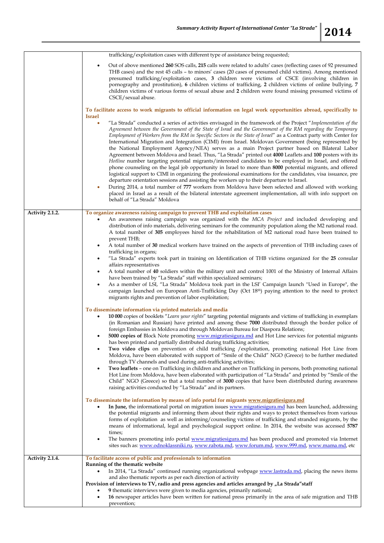|                 | trafficking/exploitation cases with different type of assistance being requested;                                                                                                                                                                                                                                                                                                                                                                                                                                                                                                                                                                                                                                                                                                                                                                                                                                                                                                                                                                                                                                                                                                                                                                                                                                                                                                         |
|-----------------|-------------------------------------------------------------------------------------------------------------------------------------------------------------------------------------------------------------------------------------------------------------------------------------------------------------------------------------------------------------------------------------------------------------------------------------------------------------------------------------------------------------------------------------------------------------------------------------------------------------------------------------------------------------------------------------------------------------------------------------------------------------------------------------------------------------------------------------------------------------------------------------------------------------------------------------------------------------------------------------------------------------------------------------------------------------------------------------------------------------------------------------------------------------------------------------------------------------------------------------------------------------------------------------------------------------------------------------------------------------------------------------------|
|                 | Out of above mentioned 260 SOS calls, 215 calls were related to adults' cases (reflecting cases of 92 presumed<br>٠<br>THB cases) and the rest 45 calls - to minors' cases (20 cases of presumed child victims). Among mentioned<br>presumed trafficking/exploitation cases, 3 children were victims of CSCE (involving children in<br>pornography and prostitution), 6 children victims of trafficking, 2 children victims of online bullying, 7<br>children victims of various forms of sexual abuse and 2 children were found missing presumed victims of<br>CSCE/sexual abuse.                                                                                                                                                                                                                                                                                                                                                                                                                                                                                                                                                                                                                                                                                                                                                                                                        |
|                 | To facilitate access to work migrants to official information on legal work opportunities abroad, specifically to<br><b>Israel</b>                                                                                                                                                                                                                                                                                                                                                                                                                                                                                                                                                                                                                                                                                                                                                                                                                                                                                                                                                                                                                                                                                                                                                                                                                                                        |
|                 | "La Strada" conducted a series of activities envisaged in the framework of the Project "Implementation of the<br>$\bullet$<br>Agreement between the Government of the State of Israel and the Government of the RM regarding the Temporary<br>Employment of Workers from the RM in Specific Sectors in the State of Israel" as a Contract party with Center for<br>International Migration and Integration (CIMI) from Israel. Moldovan Government (being represented by<br>the National Employment Agency/NEA) serves as a main Project partner based on Bilateral Labor<br>Agreement between Moldova and Israel. Thus, "La Strada" printed out 4000 Leaflets and 100 posters with its<br>Hotline number targeting potential migrants/interested candidates to be employed in Israel, and offered<br>phone counseling on the legal job opportunity in Israel to more than 8000 potential migrants, and offered<br>logistical support to CIMI in organizing the professional examinations for the candidates, visa issuance, pre<br>departure orientation sessions and assisting the workers up to their departure to Israel.<br>During 2014, a total number of 777 workers from Moldova have been selected and allowed with working<br>۰<br>placed in Israel as a result of the bilateral interstate agreement implementation, all with info support on<br>behalf of "La Strada" Moldova |
| Activity 2.1.2. | To organize awareness raising campaign to prevent THB and exploitation cases<br>An awareness raising campaign was organized with the MCA Project and included developing and<br>٠<br>distribution of info materials, delivering seminars for the community population along the M2 national road.<br>A total number of 305 employees hired for the rehabilitation of M2 national road have been trained to                                                                                                                                                                                                                                                                                                                                                                                                                                                                                                                                                                                                                                                                                                                                                                                                                                                                                                                                                                                |
|                 | prevent THB;<br>A total number of 30 medical workers have trained on the aspects of prevention of THB including cases of<br>٠                                                                                                                                                                                                                                                                                                                                                                                                                                                                                                                                                                                                                                                                                                                                                                                                                                                                                                                                                                                                                                                                                                                                                                                                                                                             |
|                 | trafficking in organs;<br>"La Strada" experts took part in training on Identification of THB victims organized for the 25 consular<br>٠                                                                                                                                                                                                                                                                                                                                                                                                                                                                                                                                                                                                                                                                                                                                                                                                                                                                                                                                                                                                                                                                                                                                                                                                                                                   |
|                 | affairs representatives<br>A total number of 40 soldiers within the military unit and control 1001 of the Ministry of Internal Affairs<br>٠                                                                                                                                                                                                                                                                                                                                                                                                                                                                                                                                                                                                                                                                                                                                                                                                                                                                                                                                                                                                                                                                                                                                                                                                                                               |
|                 | have been trained by "La Strada" staff within specialized seminars;<br>As a member of LSI, "La Strada" Moldova took part in the LSI' Campaign launch "Used in Europe", the<br>٠<br>campaign launched on European Anti-Trafficking Day (Oct 18 <sup>th</sup> ) paying attention to the need to protect<br>migrants rights and prevention of labor exploitation;                                                                                                                                                                                                                                                                                                                                                                                                                                                                                                                                                                                                                                                                                                                                                                                                                                                                                                                                                                                                                            |
|                 | To disseminate information via printed materials and media<br>10 000 copies of booklets "Learn your rights" targeting potential migrants and victims of trafficking in exemplars<br>٠<br>(in Romanian and Russian) have printed and among these 7000 distributed through the border police of<br>foreign Embassies in Moldova and through Moldovan Bureau for Diaspora Relations;<br>5000 copies of Block Note promoting www.migratiesigura.md and Hot Line services for potential migrants<br>has been printed and partially distributed during trafficking activities;<br>Two video clips on prevention of child trafficking / exploitation, promoting national Hot Line from<br>٠<br>Moldova, have been elaborated with support of "Smile of the Child" NGO (Greece) to be further mediated<br>through TV channels and used during anti-trafficking activities;<br>Two leaflets - one on Trafficking in children and another on Trafficking in persons, both promoting national<br>٠<br>Hot Line from Moldova, have been elaborated with participation of "La Strada" and printed by "Smile of the<br>Child" NGO (Greece) so that a total number of 3000 copies that have been distributed during awareness<br>raising activities conducted by "La Strada" and its partners.                                                                                                           |
|                 | To disseminate the information by means of info portal for migrants www.migratiesigura.md<br>In June, the informational portal on migration issues www.migratiesigura.md has been launched, addressing<br>the potential migrants and informing them about their rights and ways to protect themselves from various<br>forms of exploitation as well as informing/counseling victims of trafficking and stranded migrants, by the<br>means of informational, legal and psychological support online. In 2014, the website was accessed 5787<br>times;<br>The banners promoting info portal www.migratiesigura.md has been produced and promoted via Internet<br>٠<br>sites such as: www.odnoklassniki.ru, www.rabota.md, www.forum.md, www.999.md, www.mama.md, etc                                                                                                                                                                                                                                                                                                                                                                                                                                                                                                                                                                                                                        |
| Activity 2.1.4. | To facilitate access of public and professionals to information<br>Running of the thematic website<br>In 2014, "La Strada" continued running organizational webpage www.lastrada.md, placing the news items<br>$\bullet$<br>and also thematic reports as per each direction of activity<br>Provision of interviews to TV, radio and press agencies and articles arranged by "La Strada"staff<br>9 thematic interviews were given to media agencies, primarily national;<br>16 newspaper articles have been written for national press primarily in the area of safe migration and THB<br>٠<br>prevention;                                                                                                                                                                                                                                                                                                                                                                                                                                                                                                                                                                                                                                                                                                                                                                                 |